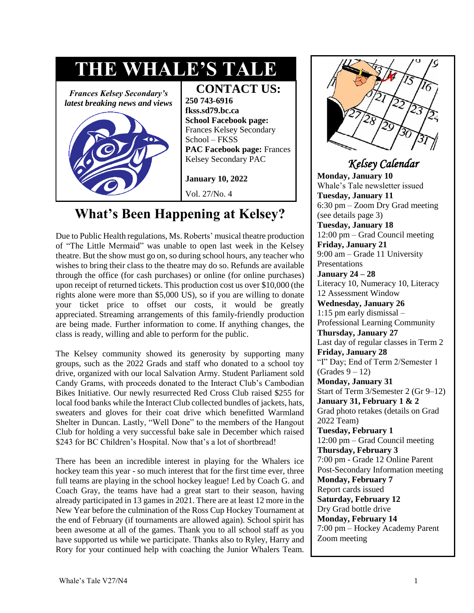

# **What's Been Happening at Kelsey?**

Due to Public Health regulations, Ms. Roberts' musical theatre production of "The Little Mermaid" was unable to open last week in the Kelsey theatre. But the show must go on, so during school hours, any teacher who wishes to bring their class to the theatre may do so. Refunds are available through the office (for cash purchases) or online (for online purchases) upon receipt of returned tickets. This production cost us over \$10,000 (the rights alone were more than \$5,000 US), so if you are willing to donate your ticket price to offset our costs, it would be greatly appreciated. Streaming arrangements of this family-friendly production are being made. Further information to come. If anything changes, the class is ready, willing and able to perform for the public.

The Kelsey community showed its generosity by supporting many groups, such as the 2022 Grads and staff who donated to a school toy drive, organized with our local Salvation Army. Student Parliament sold Candy Grams, with proceeds donated to the Interact Club's Cambodian Bikes Initiative. Our newly resurrected Red Cross Club raised \$255 for local food banks while the Interact Club collected bundles of jackets, hats, sweaters and gloves for their coat drive which benefitted Warmland Shelter in Duncan. Lastly, "Well Done" to the members of the Hangout Club for holding a very successful bake sale in December which raised \$243 for BC Children's Hospital. Now that's a lot of shortbread!

There has been an incredible interest in playing for the Whalers ice hockey team this year - so much interest that for the first time ever, three full teams are playing in the school hockey league! Led by Coach G. and Coach Gray, the teams have had a great start to their season, having already participated in 13 games in 2021. There are at least 12 more in the New Year before the culmination of the Ross Cup Hockey Tournament at the end of February (if tournaments are allowed again). School spirit has been awesome at all of the games. Thank you to all school staff as you have supported us while we participate. Thanks also to Ryley, Harry and Rory for your continued help with coaching the Junior Whalers Team.



### *Kelsey Calendar*

**Monday, January 10**  Whale's Tale newsletter issued **Tuesday, January 11**  6:30 pm – Zoom Dry Grad meeting (see details page 3) **Tuesday, January 18** 12:00 pm – Grad Council meeting **Friday, January 21**  9:00 am – Grade 11 University Presentations **January 24 – 28**  Literacy 10, Numeracy 10, Literacy 12 Assessment Window **Wednesday, January 26**  1:15 pm early dismissal – Professional Learning Community **Thursday, January 27**  Last day of regular classes in Term 2 **Friday, January 28**  "I" Day; End of Term 2/Semester 1  $(Grades 9 - 12)$ **Monday, January 31**  Start of Term 3/Semester 2 (Gr 9–12) **January 31, February 1 & 2**  Grad photo retakes (details on Grad 2022 Team) **Tuesday, February 1**  12:00 pm – Grad Council meeting **Thursday, February 3**  7:00 pm - Grade 12 Online Parent Post-Secondary Information meeting **Monday, February 7**  Report cards issued **Saturday, February 12**  Dry Grad bottle drive **Monday, February 14**  7:00 pm – Hockey Academy Parent Zoom meeting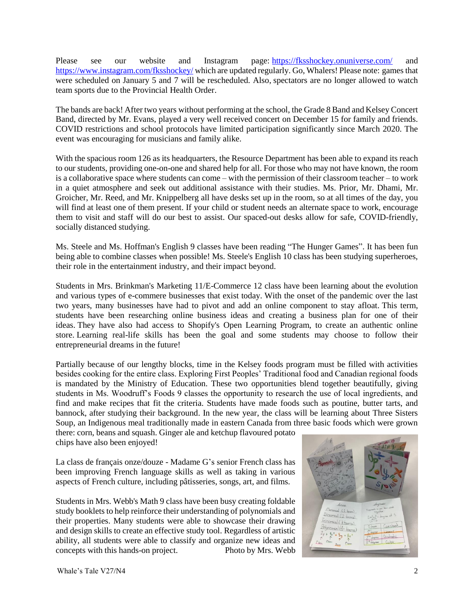Please see our website and Instagram page: <https://fksshockey.onuniverse.com/> and <https://www.instagram.com/fksshockey/> which are updated regularly. Go, Whalers! Please note: games that were scheduled on January 5 and 7 will be rescheduled. Also, spectators are no longer allowed to watch team sports due to the Provincial Health Order.

The bands are back! After two years without performing at the school, the Grade 8 Band and Kelsey Concert Band, directed by Mr. Evans, played a very well received concert on December 15 for family and friends. COVID restrictions and school protocols have limited participation significantly since March 2020. The event was encouraging for musicians and family alike.

With the spacious room 126 as its headquarters, the Resource Department has been able to expand its reach to our students, providing one-on-one and shared help for all. For those who may not have known, the room is a collaborative space where students can come – with the permission of their classroom teacher – to work in a quiet atmosphere and seek out additional assistance with their studies. Ms. Prior, Mr. Dhami, Mr. Groicher, Mr. Reed, and Mr. Knippelberg all have desks set up in the room, so at all times of the day, you will find at least one of them present. If your child or student needs an alternate space to work, encourage them to visit and staff will do our best to assist. Our spaced-out desks allow for safe, COVID-friendly, socially distanced studying.

Ms. Steele and Ms. Hoffman's English 9 classes have been reading "The Hunger Games". It has been fun being able to combine classes when possible! Ms. Steele's English 10 class has been studying superheroes, their role in the entertainment industry, and their impact beyond.

Students in Mrs. Brinkman's Marketing 11/E-Commerce 12 class have been learning about the evolution and various types of e-commere businesses that exist today. With the onset of the pandemic over the last two years, many businesses have had to pivot and add an online component to stay afloat. This term, students have been researching online business ideas and creating a business plan for one of their ideas. They have also had access to Shopify's Open Learning Program, to create an authentic online store. Learning real-life skills has been the goal and some students may choose to follow their entrepreneurial dreams in the future!

Partially because of our lengthy blocks, time in the Kelsey foods program must be filled with activities besides cooking for the entire class. Exploring First Peoples' Traditional food and Canadian regional foods is mandated by the Ministry of Education. These two opportunities blend together beautifully, giving students in Ms. Woodruff's Foods 9 classes the opportunity to research the use of local ingredients, and find and make recipes that fit the criteria. Students have made foods such as poutine, butter tarts, and bannock, after studying their background. In the new year, the class will be learning about Three Sisters Soup, an Indigenous meal traditionally made in eastern Canada from three basic foods which were grown

there: corn, beans and squash. Ginger ale and ketchup flavoured potato chips have also been enjoyed!

La class de français onze/douze - Madame G's senior French class has been improving French language skills as well as taking in various aspects of French culture, including pâtisseries, songs, art, and films.

Students in Mrs. Webb's Math 9 class have been busy creating foldable study booklets to help reinforce their understanding of polynomials and their properties. Many students were able to showcase their drawing and design skills to create an effective study tool. Regardless of artistic ability, all students were able to classify and organize new ideas and concepts with this hands-on project. Photo by Mrs. Webb

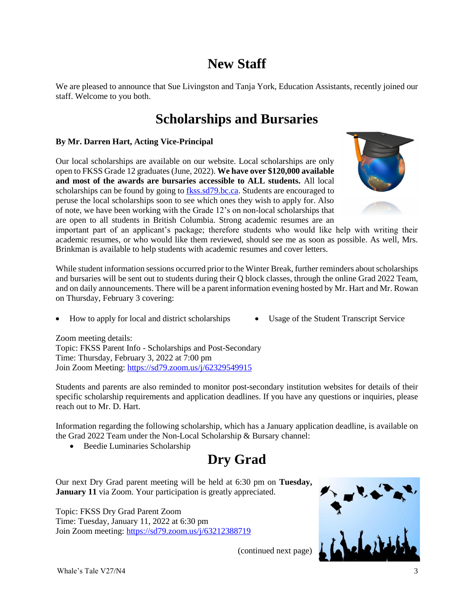# **New Staff**

We are pleased to announce that Sue Livingston and Tanja York, Education Assistants, recently joined our staff. Welcome to you both.

### **Scholarships and Bursaries**

#### **By Mr. Darren Hart, Acting Vice-Principal**

Our local scholarships are available on our website. Local scholarships are only open to FKSS Grade 12 graduates (June, 2022). **We have over \$120,000 available and most of the awards are bursaries accessible to ALL students.** All local scholarships can be found by going to [fkss.sd79.bc.ca.](file:///C:/Users/Nancy%20Bonner/Documents/WTale/fkss.sd79.bc.ca) Students are encouraged to peruse the local scholarships soon to see which ones they wish to apply for. Also of note, we have been working with the Grade 12's on non-local scholarships that are open to all students in British Columbia. Strong academic resumes are an



important part of an applicant's package; therefore students who would like help with writing their academic resumes, or who would like them reviewed, should see me as soon as possible. As well, Mrs. Brinkman is available to help students with academic resumes and cover letters.

While student information sessions occurred prior to the Winter Break, further reminders about scholarships and bursaries will be sent out to students during their Q block classes, through the online Grad 2022 Team, and on daily announcements. There will be a parent information evening hosted by Mr. Hart and Mr. Rowan on Thursday, February 3 covering:

- How to apply for local and district scholarships Usage of the Student Transcript Service
- 

Zoom meeting details: Topic: FKSS Parent Info - Scholarships and Post-Secondary Time: Thursday, February 3, 2022 at 7:00 pm Join Zoom Meeting: <https://sd79.zoom.us/j/62329549915>

Students and parents are also reminded to monitor post-secondary institution websites for details of their specific scholarship requirements and application deadlines. If you have any questions or inquiries, please reach out to Mr. D. Hart.

Information regarding the following scholarship, which has a January application deadline, is available on the Grad 2022 Team under the Non-Local Scholarship & Bursary channel:

Beedie Luminaries Scholarship

## **Dry Grad**

Our next Dry Grad parent meeting will be held at 6:30 pm on **Tuesday, January 11** via Zoom. Your participation is greatly appreciated.

Topic: FKSS Dry Grad Parent Zoom Time: Tuesday, January 11, 2022 at 6:30 pm Join Zoom meeting: <https://sd79.zoom.us/j/63212388719>



(continued next page)